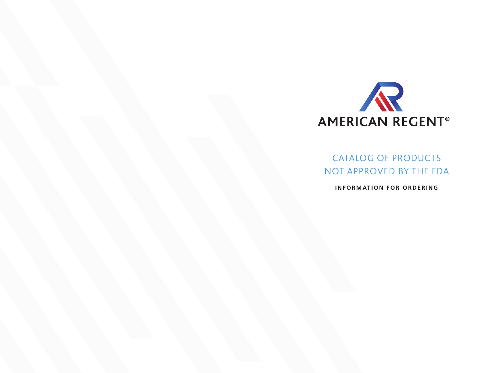

### CATALOG OF PRODUCTS NOT APPROVED BY THE FDA

**INFORMATION FOR ORDERING**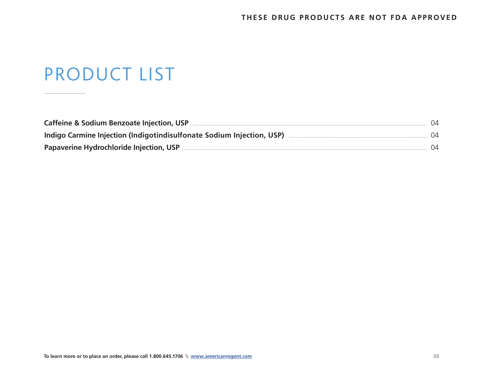## PRODUCT LIST

| <b>Caffeine &amp; Sodium Benzoate Injection, USP</b>                  | 04 |
|-----------------------------------------------------------------------|----|
| Indigo Carmine Injection (Indigotindisulfonate Sodium Injection, USP) | 04 |
| Papaverine Hydrochloride Injection, USP                               | 04 |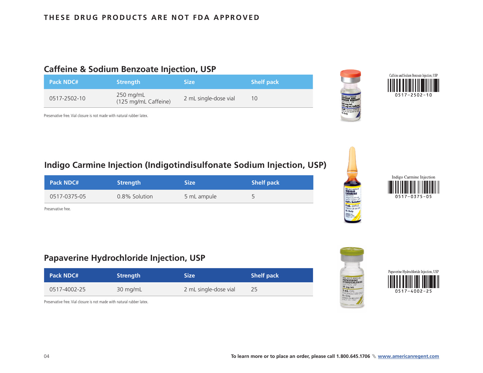#### **Caffeine & Sodium Benzoate Injection, USP**

| <b>Pack NDC#</b> | <b>Strength</b>                   | <b>Size</b>           | <b>Shelf pack</b> |
|------------------|-----------------------------------|-----------------------|-------------------|
| 0517-2502-10     | 250 mg/mL<br>(125 mg/mL Caffeine) | 2 mL single-dose vial | 10                |

Preservative free. Vial closure is not made with natural rubber latex.





#### **Indigo Carmine Injection (Indigotindisulfonate Sodium Injection, USP)**

| <b>Pack NDC#</b>   | <b>Strength</b> | <b>Size</b> | <b>Shelf pack</b> |
|--------------------|-----------------|-------------|-------------------|
| 0517-0375-05       | 0.8% Solution   | 5 mL ampule | 5                 |
| Preservative free. |                 |             |                   |





#### **Papaverine Hydrochloride Injection, USP**

| <b>Pack NDC#</b> | <b>Strength</b> | <b>Size</b>           | <b>Shelf pack</b> |
|------------------|-----------------|-----------------------|-------------------|
| 0517-4002-25     | 30 mg/mL        | 2 mL single-dose vial | 25                |





Preservative free. Vial closure is not made with natural rubber latex.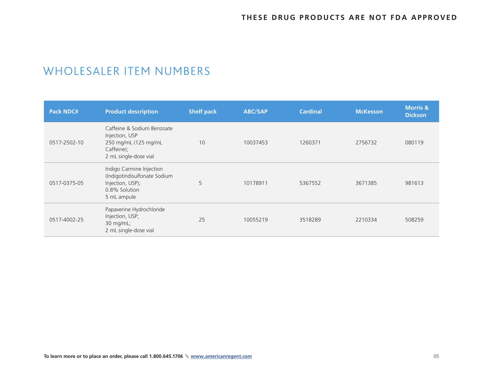## WHOLESALER ITEM NUMBERS

| <b>Pack NDC#</b> | <b>Product description</b>                                                                                   | <b>Shelf pack</b> | <b>ABC/SAP</b> | <b>Cardinal</b> | <b>McKesson</b> | <b>Morris &amp;</b><br><b>Dickson</b> |
|------------------|--------------------------------------------------------------------------------------------------------------|-------------------|----------------|-----------------|-----------------|---------------------------------------|
| 0517-2502-10     | Caffeine & Sodium Benzoate<br>Injection, USP<br>250 mg/mL (125 mg/mL<br>Caffeine);<br>2 mL single-dose vial  | 10                | 10037453       | 1260371         | 2756732         | 080119                                |
| 0517-0375-05     | Indigo Carmine Injection<br>(Indigotindisulfonate Sodium<br>Injection, USP);<br>0.8% Solution<br>5 mL ampule | 5                 | 10178911       | 5367552         | 3671385         | 981613                                |
| 0517-4002-25     | Papaverine Hydrochloride<br>Injection, USP;<br>30 mg/mL;<br>2 mL single-dose vial                            | 25                | 10055219       | 3518289         | 2210334         | 508259                                |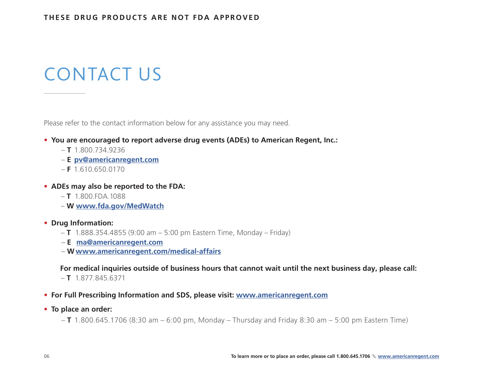# CONTACT US

Please refer to the contact information below for any assistance you may need.

- **You are encouraged to report adverse drug events (ADEs) to American Regent, Inc.:**
	- **T** 1.800.734.9236
	- **E [pv@americanregent.com](mailto:pv%40americanregent.com?subject=)**
	- **F** 1.610.650.0170
- **ADEs may also be reported to the FDA:**
	- **T** 1.800.FDA.1088
	- **W [www.fda.gov/MedWatch](http://www.fda.gov/MedWatch)**
- **Drug Information:**
	- **T** 1.888.354.4855 (9:00 am 5:00 pm Eastern Time, Monday Friday)
	- **E [ma@americanregent.com](mailto:ma%40americanregent.com?subject=)**
	- **W [www.americanregent.com/medical-affairs](https://www.americanregent.com/medical-affairs)**

**For medical inquiries outside of business hours that cannot wait until the next business day, please call:**

- **T** 1.877.845.6371
- **For Full Prescribing Information and SDS, please visit: [www.americanregent.com](http://www.americanregent.com)**
- **To place an order:**

– **T** 1.800.645.1706 (8:30 am – 6:00 pm, Monday – Thursday and Friday 8:30 am – 5:00 pm Eastern Time)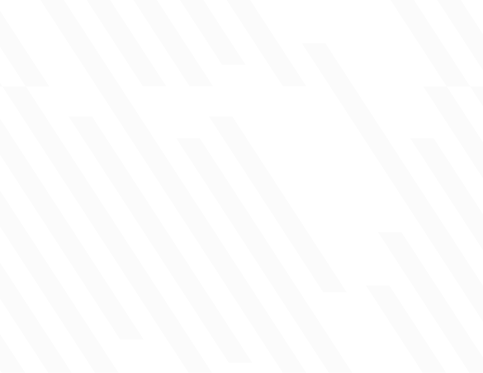